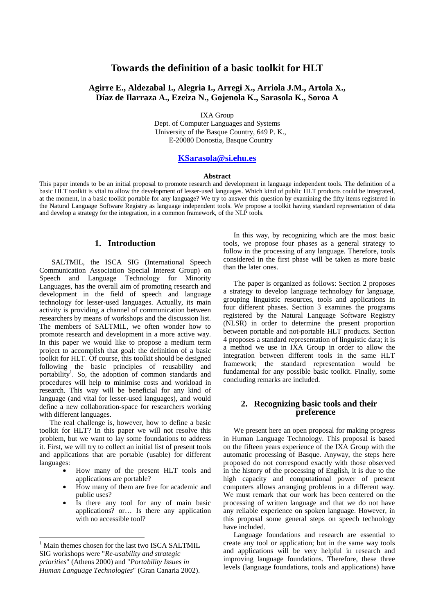# **Towards the definition of a basic toolkit for HLT**

### **Agirre E., Aldezabal I., Alegria I., Arregi X., Arriola J.M., Artola X., Díaz de Ilarraza A., Ezeiza N., Gojenola K., Sarasola K., Soroa A**

IXA Group

Dept. of Computer Languages and Systems University of the Basque Country, 649 P. K., E-20080 Donostia, Basque Country

### **KSarasola@si.ehu.es**

#### **Abstract**

This paper intends to be an initial proposal to promote research and development in language independent tools. The definition of a basic HLT toolkit is vital to allow the development of lesser-used languages. Which kind of public HLT products could be integrated, at the moment, in a basic toolkit portable for any language? We try to answer this question by examining the fifty items registered in the Natural Language Software Registry as language independent tools. We propose a toolkit having standard representation of data and develop a strategy for the integration, in a common framework, of the NLP tools.

### **1. Introduction**

 SALTMIL, the ISCA SIG (International Speech Communication Association Special Interest Group) on Speech and Language Technology for Minority Languages, has the overall aim of promoting research and development in the field of speech and language technology for lesser-used languages. Actually, its main activity is providing a channel of communication between researchers by means of workshops and the discussion list. The members of SALTMIL, we often wonder how to promote research and development in a more active way. In this paper we would like to propose a medium term project to accomplish that goal: the definition of a basic toolkit for HLT. Of course, this toolkit should be designed following the basic principles of reusability and portability<sup>1</sup>. So, the adoption of common standards and procedures will help to minimise costs and workload in research. This way will be beneficial for any kind of language (and vital for lesser-used languages), and would define a new collaboration-space for researchers working with different languages.

The real challenge is, however, how to define a basic toolkit for HLT? In this paper we will not resolve this problem, but we want to lay some foundations to address it. First, we will try to collect an initial list of present tools and applications that are portable (usable) for different languages:

- How many of the present HLT tools and applications are portable?
- How many of them are free for academic and public uses?
- Is there any tool for any of main basic applications? or… Is there any application with no accessible tool?

 $\ddot{ }$ 

In this way, by recognizing which are the most basic tools, we propose four phases as a general strategy to follow in the processing of any language. Therefore, tools considered in the first phase will be taken as more basic than the later ones.

The paper is organized as follows: Section 2 proposes a strategy to develop language technology for language, grouping linguistic resources, tools and applications in four different phases. Section 3 examines the programs registered by the Natural Language Software Registry (NLSR) in order to determine the present proportion between portable and not-portable HLT products. Section 4 proposes a standard representation of linguistic data; it is a method we use in IXA Group in order to allow the integration between different tools in the same HLT framework; the standard representation would be fundamental for any possible basic toolkit. Finally, some concluding remarks are included.

### **2. Recognizing basic tools and their preference**

We present here an open proposal for making progress in Human Language Technology. This proposal is based on the fifteen years experience of the IXA Group with the automatic processing of Basque. Anyway, the steps here proposed do not correspond exactly with those observed in the history of the processing of English, it is due to the high capacity and computational power of present computers allows arranging problems in a different way. We must remark that our work has been centered on the processing of written language and that we do not have any reliable experience on spoken language. However, in this proposal some general steps on speech technology have included.

Language foundations and research are essential to create any tool or application; but in the same way tools and applications will be very helpful in research and improving language foundations. Therefore, these three levels (language foundations, tools and applications) have

<sup>&</sup>lt;sup>1</sup> Main themes chosen for the last two ISCA SALTMIL SIG workshops were "*Re-usability and strategic priorities*" (Athens 2000) and "*Portability Issues in Human Language Technologies*" (Gran Canaria 2002).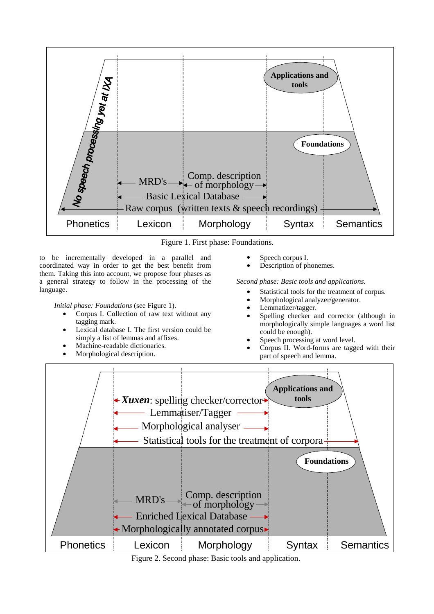

Figure 1. First phase: Foundations.

to be incrementally developed in a parallel and coordinated way in order to get the best benefit from them. Taking this into account, we propose four phases as a general strategy to follow in the processing of the language.

*Initial phase: Foundations* (see Figure 1).

- Corpus I. Collection of raw text without any tagging mark.
- Lexical database I. The first version could be simply a list of lemmas and affixes.
- Machine-readable dictionaries.
- Morphological description.
- Speech corpus I.
- Description of phonemes.

*Second phase: Basic tools and applications.* 

- Statistical tools for the treatment of corpus.
- Morphological analyzer/generator.
- Lemmatizer/tagger.
- Spelling checker and corrector (although in morphologically simple languages a word list could be enough).
- Speech processing at word level.
- Corpus II. Word-forms are tagged with their part of speech and lemma.



Figure 2. Second phase: Basic tools and application.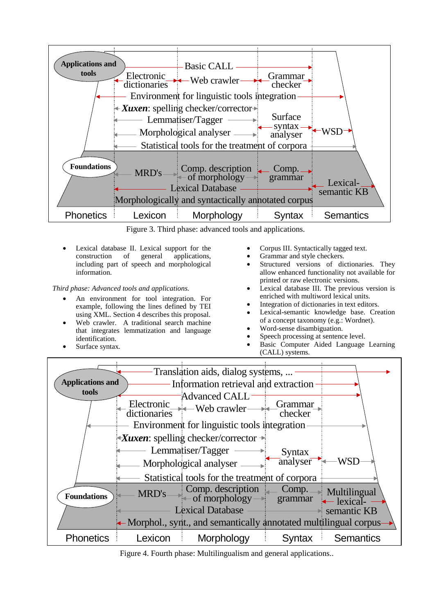

Figure 3. Third phase: advanced tools and applications.

• Lexical database II. Lexical support for the construction of general applications, including part of speech and morphological information.

*Third phase: Advanced tools and applications.* 

- An environment for tool integration. For example, following the lines defined by TEI using XML. Section 4 describes this proposal.
- Web crawler. A traditional search machine that integrates lemmatization and language identification.
- Surface syntax*.*
- Corpus III. Syntactically tagged text.
- Grammar and style checkers.
- Structured versions of dictionaries. They allow enhanced functionality not available for printed or raw electronic versions.
- Lexical database III. The previous version is enriched with multiword lexical units.
- Integration of dictionaries in text editors.
- Lexical-semantic knowledge base. Creation of a concept taxonomy (e.g.: Wordnet).
- Word-sense disambiguation.
- Speech processing at sentence level.
- Basic Computer Aided Language Learning (CALL) systems.



Figure 4. Fourth phase: Multilingualism and general applications..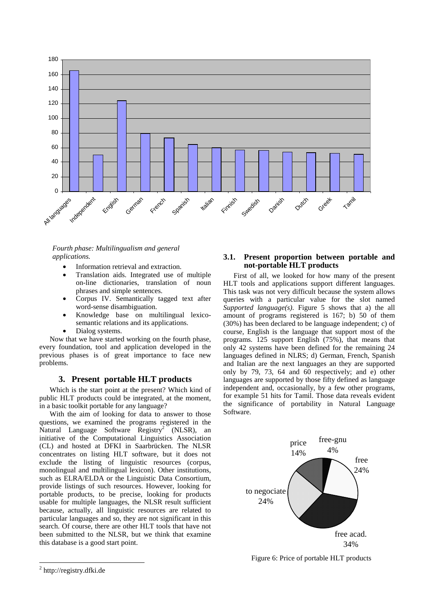

*Fourth phase: Multilingualism and general applications.* 

- Information retrieval and extraction.
- Translation aids. Integrated use of multiple on-line dictionaries, translation of noun phrases and simple sentences.
- Corpus IV. Semantically tagged text after word-sense disambiguation.
- Knowledge base on multilingual lexicosemantic relations and its applications.
- Dialog systems.

Now that we have started working on the fourth phase, every foundation, tool and application developed in the previous phases is of great importance to face new problems.

### **3. Present portable HLT products**

Which is the start point at the present? Which kind of public HLT products could be integrated, at the moment, in a basic toolkit portable for any language?

With the aim of looking for data to answer to those questions, we examined the programs registered in the Natural Language Software Registry<sup>2</sup> (NLSR), an initiative of the Computational Linguistics Association (CL) and hosted at DFKI in Saarbrücken. The NLSR concentrates on listing HLT software, but it does not exclude the listing of linguistic resources (corpus, monolingual and multilingual lexicon). Other institutions, such as ELRA/ELDA or the Linguistic Data Consortium, provide listings of such resources. However, looking for portable products, to be precise, looking for products usable for multiple languages, the NLSR result sufficient because, actually, all linguistic resources are related to particular languages and so, they are not significant in this search. Of course, there are other HLT tools that have not been submitted to the NLSR, but we think that examine this database is a good start point.

### **3.1. Present proportion between portable and not-portable HLT products**

First of all, we looked for how many of the present HLT tools and applications support different languages. This task was not very difficult because the system allows queries with a particular value for the slot named *Supported language(s)*. Figure 5 shows that a) the all amount of programs registered is 167; b) 50 of them (30%) has been declared to be language independent; c) of course, English is the language that support most of the programs. 125 support English (75%), that means that only 42 systems have been defined for the remaining 24 languages defined in NLRS; d) German, French, Spanish and Italian are the next languages an they are supported only by 79, 73, 64 and 60 respectively; and e) other languages are supported by those fifty defined as language independent and, occasionally, by a few other programs, for example 51 hits for Tamil. Those data reveals evident the significance of portability in Natural Language Software.



Figure 6: Price of portable HLT products

 $\overline{a}$ 

<sup>&</sup>lt;sup>2</sup> http://registry.dfki.de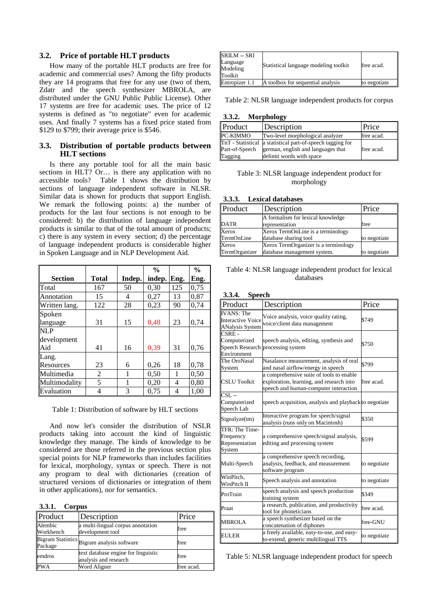### **3.2. Price of portable HLT products**

How many of the portable HLT products are free for academic and commercial uses? Among the fifty products they are 14 programs that free for any use (two of them, Zdatr and the speech synthesizer MBROLA, are distributed under the GNU Public Public License). Other 17 systems are free for academic uses. The price of 12 systems is defined as "to negotiate" even for academic uses. And finally 7 systems has a fixed price stated from \$129 to \$799; their average price is \$546.

#### **3.3. Distribution of portable products between HLT sections**

Is there any portable tool for all the main basic sections in HLT? Or... is there any application with no accessible tools? Table 1 shows the distribution by sections of language independent software in NLSR. Similar data is shown for products that support English. We remark the following points: a) the number of products for the last four sections is not enough to be considered: b) the distribution of language independent products is similar to that of the total amount of products; c) there is any system in every section; d) the percentage of language independent products is considerable higher in Spoken Language and in NLP Development Aid.

|                |       |        | $\frac{0}{0}$ |      | $\frac{0}{0}$ |
|----------------|-------|--------|---------------|------|---------------|
| <b>Section</b> | Total | Indep. | indep.        | Eng. | Eng.          |
| Total          | 167   | 50     | 0,30          | 125  | 0,75          |
| Annotation     | 15    | 4      | 0,27          | 13   | 0,87          |
| Written lang.  | 122   | 28     | 0,23          | 90   | 0,74          |
| Spoken         |       |        |               |      |               |
| language       | 31    | 15     | 0,48          | 23   | 0,74          |
| <b>NLP</b>     |       |        |               |      |               |
| development    |       |        |               |      |               |
| Aid            | 41    | 16     | 0,39          | 31   | 0,76          |
| Lang.          |       |        |               |      |               |
| Resources      | 23    | 6      | 0,26          | 18   | 0,78          |
| Multimedia     | 2     | 1      | 0,50          | 1    | 0,50          |
| Multimodality  | 5     | 1      | 0,20          | 4    | 0,80          |
| Evaluation     | 4     | 3      | 0,75          | 4    | 1,00          |

Table 1: Distribution of software by HLT sections

And now let's consider the distribution of NSLR products taking into account the kind of linguistic knowledge they manage. The kinds of knowledge to be considered are those referred in the previous section plus special points for NLP frameworks than includes facilities for lexical, morphology, syntax or speech. There is not any program to deal with dictionaries (creation of structured versions of dictionaries or integration of them in other applications), nor for semantics.

| Product              | Description                                                  | Price      |
|----------------------|--------------------------------------------------------------|------------|
| Alembic<br>Workbench | a multi-lingual corpus annotation<br>development tool        | free       |
|                      | Bigram Statistics Bigram analysis software                   | free       |
| emdros               | text database engine for linguistic<br>analysis and research | free       |
| <b>PWA</b>           | Word Aligner                                                 | free acad. |

| <b>SRILM -- SRI</b><br>Language<br>Modeling<br>Toolkit | Statistical language modeling toolkit | free acad.   |
|--------------------------------------------------------|---------------------------------------|--------------|
| Entropizer 1.1                                         | A toolbox for sequential analysis     | to negotiate |

Table 2: NLSR language independent products for corpus

#### **3.3.2. Morphology**

| Product        | Description                                                | Price      |
|----------------|------------------------------------------------------------|------------|
| PC-KIMMO       | Two-level morphological analyzer                           | free acad. |
|                | TnT - Statistical a statistical part-of-speech tagging for |            |
| Part-of-Speech | german, english and languages that                         | free acad. |
| Tagging        | delimit words with space                                   |            |

#### Table 3: NLSR language independent product for morphology

| 3.3.3. | <b>Lexical databases</b> |
|--------|--------------------------|
|--------|--------------------------|

| Product       | Description                          | Price        |
|---------------|--------------------------------------|--------------|
|               | A formalism for lexical knowledge    |              |
| <b>DATR</b>   | representation                       | free         |
| Xerox         | Xerox TermOnLine is a terminology    |              |
| TermOnLine    | database sharing tool                | to negotiate |
| Xerox         | Xerox TermOrganizer is a terminology |              |
| TermOrganizer | database management system.          | to negotiate |

### Table 4: NLSR language independent product for lexical databases

### **3.3.4. Speech**

| Product                                                                  | Description                                                                                                                   | Price        |
|--------------------------------------------------------------------------|-------------------------------------------------------------------------------------------------------------------------------|--------------|
| <b>IVANS</b> : The<br><b>Interactive Voice</b><br><b>ANalysis System</b> | Voice analysis, voice quality rating,<br>voice/client data management                                                         | \$749        |
| $CSRE -$<br>Computerized<br>Environment                                  | speech analysis, editing, synthesis and<br>Speech Research processing system                                                  | \$750        |
| The OroNasal<br>System                                                   | Nasalance measurement, analysis of oral<br>and nasal airflow/energy in speech                                                 | \$799        |
| <b>CSLU Toolkit</b>                                                      | a comprehensive suite of tools to enable<br>exploration, learning, and research into<br>speech and human-computer interaction | free acad.   |
| $CSL -$<br>Computerized<br>Speech Lab                                    | speech acquisition, analysis and playback to negotiate                                                                        |              |
| Signalyze(tm)                                                            | Interactive program for speech/signal<br>analysis (runs only on Macintosh)                                                    | \$350        |
| TFR: The Time-<br>Frequency<br>Representation<br>System                  | a comprehensive speech/signal analysis,<br>editing and processing system                                                      | \$599        |
| Multi-Speech                                                             | a comprehensive speech recording,<br>analysis, feedback, and measurement<br>software program                                  | to negotiate |
| WinPitch.<br>WinPitch II                                                 | Speech analysis and annotation                                                                                                | to negotiate |
| ProTrain                                                                 | speech analysis and speech production<br>training system                                                                      | \$349        |
| Praat                                                                    | a research, publication, and productivity<br>tool for phoneticians                                                            | free acad.   |
| <b>MBROLA</b>                                                            | a speech synthesizer based on the<br>concatenation of diphones                                                                | free-GNU     |
| EULER                                                                    | a freely available, easy-to-use, and easy-<br>to-extend, generic multilingual TTS                                             | to negotiate |

Table 5: NLSR language independent product for speech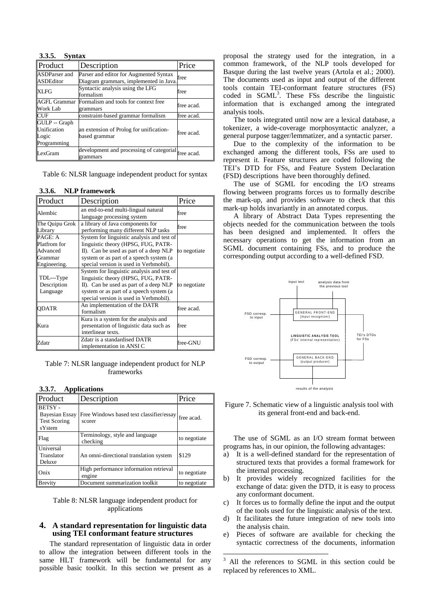| 3.3.5. Syntax                                        |                                                                                  |            |
|------------------------------------------------------|----------------------------------------------------------------------------------|------------|
| Product                                              | Description                                                                      | Price      |
| ASDParser and<br><b>ASDEditor</b>                    | Parser and editor for Augmented Syntax<br>Diagram grammars, implemented in Java. | free       |
| <b>XLFG</b>                                          | Syntactic analysis using the LFG<br>formalism                                    | free       |
| <b>AGFL Grammar</b><br><b>Work Lab</b>               | Formalism and tools for context free<br>grammars                                 | free acad. |
| <b>CUF</b>                                           | constraint-based grammar formalism                                               | free acad. |
| GULP -- Graph<br>Unification<br>Logic<br>Programming | an extension of Prolog for unification-<br>based grammar                         | free acad. |
| LexGram                                              | development and processing of categorial free acad.<br>grammars                  |            |

Table 6: NLSR language independent product for syntax

| 3.3.6. NLP framework                                                  |                                                                                                                                                                                                                  |              |
|-----------------------------------------------------------------------|------------------------------------------------------------------------------------------------------------------------------------------------------------------------------------------------------------------|--------------|
| Product                                                               | Description                                                                                                                                                                                                      | Price        |
| Alembic                                                               | an end-to-end multi-lingual natural<br>language processing system                                                                                                                                                | free         |
| The Quipu Grok<br>Library                                             | a library of Java components for<br>performing many different NLP tasks                                                                                                                                          | free         |
| PAGE: A<br><b>Platfrom</b> for<br>Advanced<br>Grammar<br>Engineering. | System for linguistic analysis and test of<br>linguistic theory (HPSG, FUG, PATR-<br>II). Can be used as part of a deep NLP<br>system or as part of a speech system (a<br>special version is used in Verbmobil). | to negotiate |
| TDL---Type<br>Description<br>Language                                 | System for linguistic analysis and test of<br>linguistic theory (HPSG, FUG, PATR-<br>II). Can be used as part of a deep NLP<br>system or as part of a speech system (a<br>special version is used in Verbmobil). | to negotiate |
| <b>ODATR</b>                                                          | An implementation of the DATR<br>formalism                                                                                                                                                                       | free acad.   |
| Kura                                                                  | Kura is a system for the analysis and<br>presentation of linguistic data such as<br>interlinear texts.                                                                                                           | free         |
| Zdatr                                                                 | Zdatr is a standardised DATR<br>implementation in ANSI C                                                                                                                                                         | free-GNU     |

Table 7: NLSR language independent product for NLP frameworks

| 3.3.7. Applications                                                     |                                                    |              |
|-------------------------------------------------------------------------|----------------------------------------------------|--------------|
| Product                                                                 | Description                                        | Price        |
| <b>BETSY-</b><br><b>Bayesian Essay</b><br><b>Test Scoring</b><br>sYstem | Free Windows based text classifier/essay<br>scorer | free acad.   |
| Flag                                                                    | Terminology, style and language<br>checking        | to negotiate |
| Universal<br>Translator<br>Deluxe                                       | An omni-directional translation system             | \$129        |
| Onix                                                                    | High performance information retrieval<br>engine   | to negotiate |
| <b>Brevity</b>                                                          | Document summarization toolkit                     | to negotiate |

Table 8: NLSR language independent product for applications

### **4. A standard representation for linguistic data using TEI conformant feature structures**

The standard representation of linguistic data in order to allow the integration between different tools in the same HLT framework will be fundamental for any possible basic toolkit. In this section we present as a proposal the strategy used for the integration, in a common framework, of the NLP tools developed for Basque during the last twelve years (Artola et al.; 2000). The documents used as input and output of the different tools contain TEI-conformant feature structures (FS) coded in SGML<sup>3</sup>. These FSs describe the linguistic information that is exchanged among the integrated analysis tools.

The tools integrated until now are a lexical database, a tokenizer, a wide-coverage morphosyntactic analyzer, a general purpose tagger/lemmatizer, and a syntactic parser.

Due to the complexity of the information to be exchanged among the different tools, FSs are used to represent it. Feature structures are coded following the TEI's DTD for FSs, and Feature System Declaration (FSD) descriptions have been thoroughly defined.

The use of SGML for encoding the I/O streams flowing between programs forces us to formally describe the mark-up, and provides software to check that this mark-up holds invariantly in an annotated corpus.

A library of Abstract Data Types representing the objects needed for the communication between the tools has been designed and implemented. It offers the necessary operations to get the information from an SGML document containing FSs, and to produce the corresponding output according to a well-defined FSD.



Figure 7. Schematic view of a linguistic analysis tool with its general front-end and back-end.

The use of SGML as an I/O stream format between programs has, in our opinion, the following advantages:

- a) It is a well-defined standard for the representation of structured texts that provides a formal framework for the internal processing.
- b) It provides widely recognized facilities for the exchange of data: given the DTD, it is easy to process any conformant document.
- c) It forces us to formally define the input and the output of the tools used for the linguistic analysis of the text.
- d) It facilitates the future integration of new tools into the analysis chain.
- e) Pieces of software are available for checking the syntactic correctness of the documents, information

<sup>&</sup>lt;sup>3</sup> All the references to SGML in this section could be replaced by references to XML.